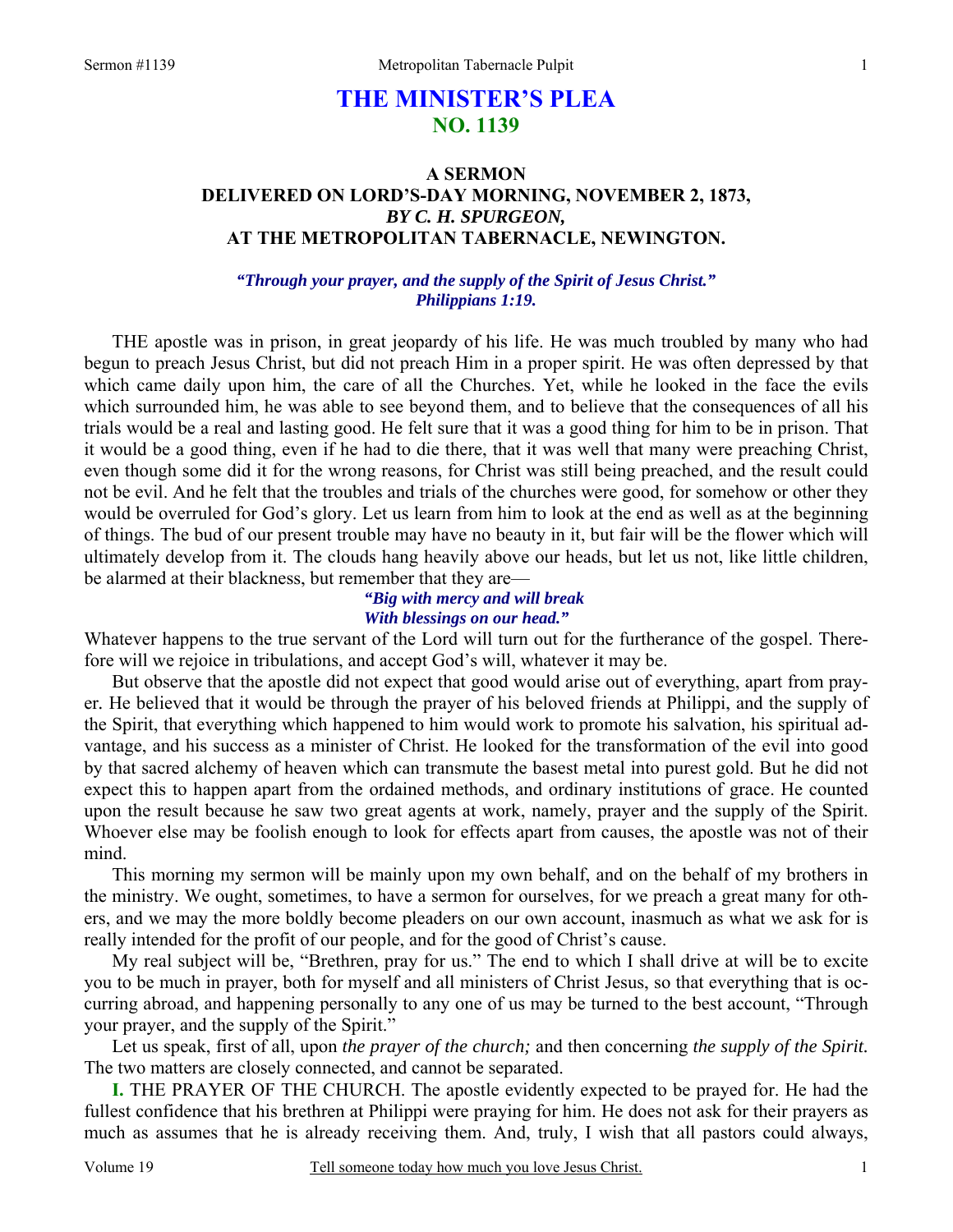# **THE MINISTER'S PLEA NO. 1139**

## **A SERMON DELIVERED ON LORD'S-DAY MORNING, NOVEMBER 2, 1873,**  *BY C. H. SPURGEON,*  **AT THE METROPOLITAN TABERNACLE, NEWINGTON.**

#### *"Through your prayer, and the supply of the Spirit of Jesus Christ." Philippians 1:19.*

THE apostle was in prison, in great jeopardy of his life. He was much troubled by many who had begun to preach Jesus Christ, but did not preach Him in a proper spirit. He was often depressed by that which came daily upon him, the care of all the Churches. Yet, while he looked in the face the evils which surrounded him, he was able to see beyond them, and to believe that the consequences of all his trials would be a real and lasting good. He felt sure that it was a good thing for him to be in prison. That it would be a good thing, even if he had to die there, that it was well that many were preaching Christ, even though some did it for the wrong reasons, for Christ was still being preached, and the result could not be evil. And he felt that the troubles and trials of the churches were good, for somehow or other they would be overruled for God's glory. Let us learn from him to look at the end as well as at the beginning of things. The bud of our present trouble may have no beauty in it, but fair will be the flower which will ultimately develop from it. The clouds hang heavily above our heads, but let us not, like little children, be alarmed at their blackness, but remember that they are—

### *"Big with mercy and will break With blessings on our head."*

Whatever happens to the true servant of the Lord will turn out for the furtherance of the gospel. Therefore will we rejoice in tribulations, and accept God's will, whatever it may be.

 But observe that the apostle did not expect that good would arise out of everything, apart from prayer*.* He believed that it would be through the prayer of his beloved friends at Philippi, and the supply of the Spirit, that everything which happened to him would work to promote his salvation, his spiritual advantage, and his success as a minister of Christ. He looked for the transformation of the evil into good by that sacred alchemy of heaven which can transmute the basest metal into purest gold. But he did not expect this to happen apart from the ordained methods, and ordinary institutions of grace. He counted upon the result because he saw two great agents at work, namely, prayer and the supply of the Spirit. Whoever else may be foolish enough to look for effects apart from causes, the apostle was not of their mind.

 This morning my sermon will be mainly upon my own behalf, and on the behalf of my brothers in the ministry. We ought, sometimes, to have a sermon for ourselves, for we preach a great many for others, and we may the more boldly become pleaders on our own account, inasmuch as what we ask for is really intended for the profit of our people, and for the good of Christ's cause.

 My real subject will be, "Brethren, pray for us." The end to which I shall drive at will be to excite you to be much in prayer, both for myself and all ministers of Christ Jesus, so that everything that is occurring abroad, and happening personally to any one of us may be turned to the best account, "Through your prayer, and the supply of the Spirit."

 Let us speak, first of all, upon *the prayer of the church;* and then concerning *the supply of the Spirit.* The two matters are closely connected, and cannot be separated.

**I.** THE PRAYER OF THE CHURCH. The apostle evidently expected to be prayed for. He had the fullest confidence that his brethren at Philippi were praying for him. He does not ask for their prayers as much as assumes that he is already receiving them. And, truly, I wish that all pastors could always,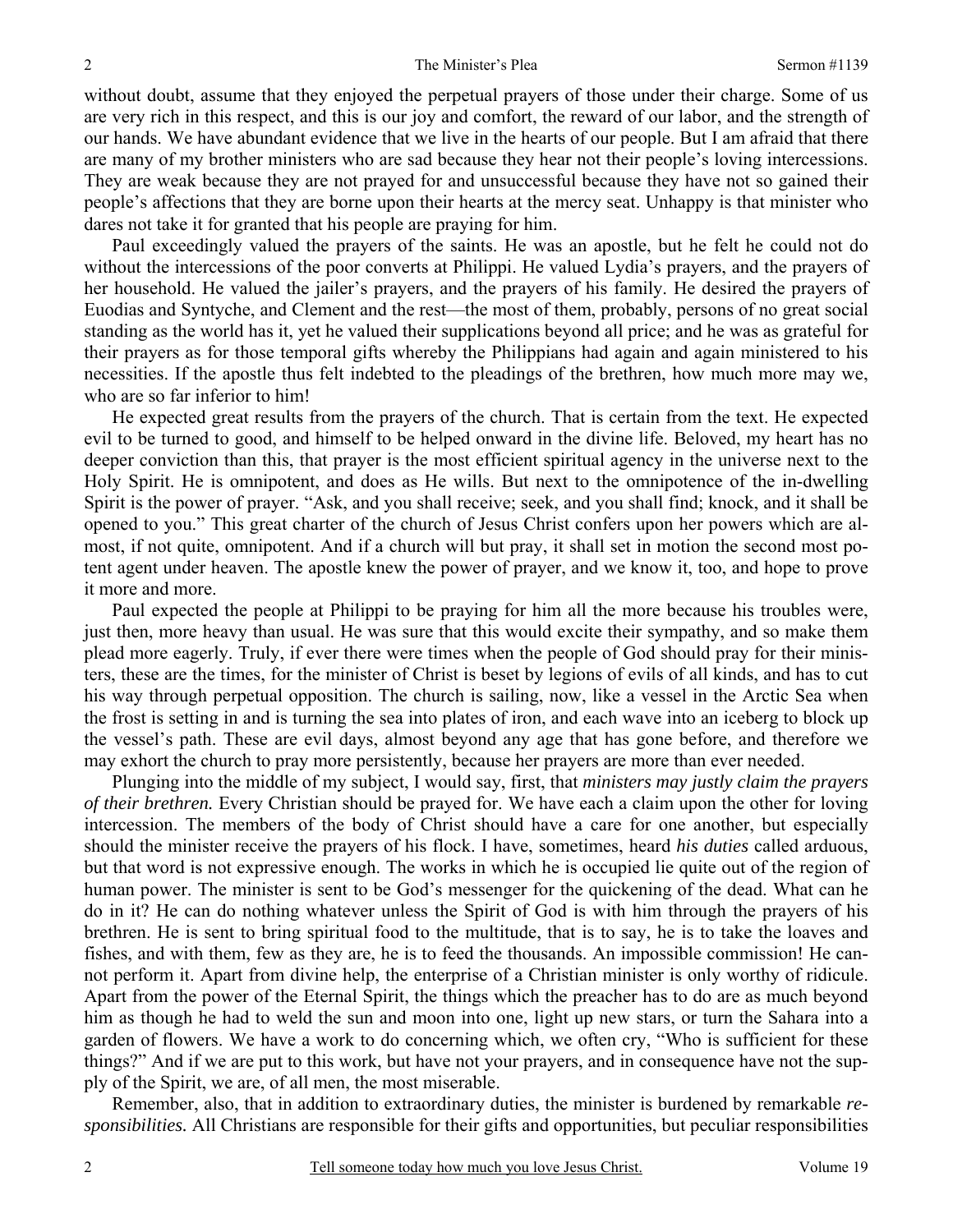without doubt, assume that they enjoyed the perpetual prayers of those under their charge. Some of us are very rich in this respect, and this is our joy and comfort, the reward of our labor, and the strength of our hands. We have abundant evidence that we live in the hearts of our people. But I am afraid that there are many of my brother ministers who are sad because they hear not their people's loving intercessions. They are weak because they are not prayed for and unsuccessful because they have not so gained their people's affections that they are borne upon their hearts at the mercy seat. Unhappy is that minister who dares not take it for granted that his people are praying for him.

Paul exceedingly valued the prayers of the saints. He was an apostle, but he felt he could not do without the intercessions of the poor converts at Philippi. He valued Lydia's prayers, and the prayers of her household. He valued the jailer's prayers, and the prayers of his family. He desired the prayers of Euodias and Syntyche, and Clement and the rest—the most of them, probably, persons of no great social standing as the world has it, yet he valued their supplications beyond all price; and he was as grateful for their prayers as for those temporal gifts whereby the Philippians had again and again ministered to his necessities. If the apostle thus felt indebted to the pleadings of the brethren, how much more may we, who are so far inferior to him!

He expected great results from the prayers of the church. That is certain from the text. He expected evil to be turned to good, and himself to be helped onward in the divine life. Beloved, my heart has no deeper conviction than this, that prayer is the most efficient spiritual agency in the universe next to the Holy Spirit. He is omnipotent, and does as He wills. But next to the omnipotence of the in-dwelling Spirit is the power of prayer. "Ask, and you shall receive; seek, and you shall find; knock, and it shall be opened to you." This great charter of the church of Jesus Christ confers upon her powers which are almost, if not quite, omnipotent. And if a church will but pray, it shall set in motion the second most potent agent under heaven. The apostle knew the power of prayer, and we know it, too, and hope to prove it more and more.

Paul expected the people at Philippi to be praying for him all the more because his troubles were, just then, more heavy than usual. He was sure that this would excite their sympathy, and so make them plead more eagerly. Truly, if ever there were times when the people of God should pray for their ministers, these are the times, for the minister of Christ is beset by legions of evils of all kinds, and has to cut his way through perpetual opposition. The church is sailing, now, like a vessel in the Arctic Sea when the frost is setting in and is turning the sea into plates of iron, and each wave into an iceberg to block up the vessel's path. These are evil days, almost beyond any age that has gone before, and therefore we may exhort the church to pray more persistently, because her prayers are more than ever needed.

Plunging into the middle of my subject, I would say, first, that *ministers may justly claim the prayers of their brethren.* Every Christian should be prayed for. We have each a claim upon the other for loving intercession. The members of the body of Christ should have a care for one another, but especially should the minister receive the prayers of his flock. I have, sometimes, heard *his duties* called arduous, but that word is not expressive enough. The works in which he is occupied lie quite out of the region of human power. The minister is sent to be God's messenger for the quickening of the dead. What can he do in it? He can do nothing whatever unless the Spirit of God is with him through the prayers of his brethren. He is sent to bring spiritual food to the multitude, that is to say, he is to take the loaves and fishes, and with them, few as they are, he is to feed the thousands. An impossible commission! He cannot perform it. Apart from divine help, the enterprise of a Christian minister is only worthy of ridicule. Apart from the power of the Eternal Spirit, the things which the preacher has to do are as much beyond him as though he had to weld the sun and moon into one, light up new stars, or turn the Sahara into a garden of flowers. We have a work to do concerning which, we often cry, "Who is sufficient for these things?" And if we are put to this work, but have not your prayers, and in consequence have not the supply of the Spirit, we are, of all men, the most miserable.

Remember, also, that in addition to extraordinary duties, the minister is burdened by remarkable *responsibilities.* All Christians are responsible for their gifts and opportunities, but peculiar responsibilities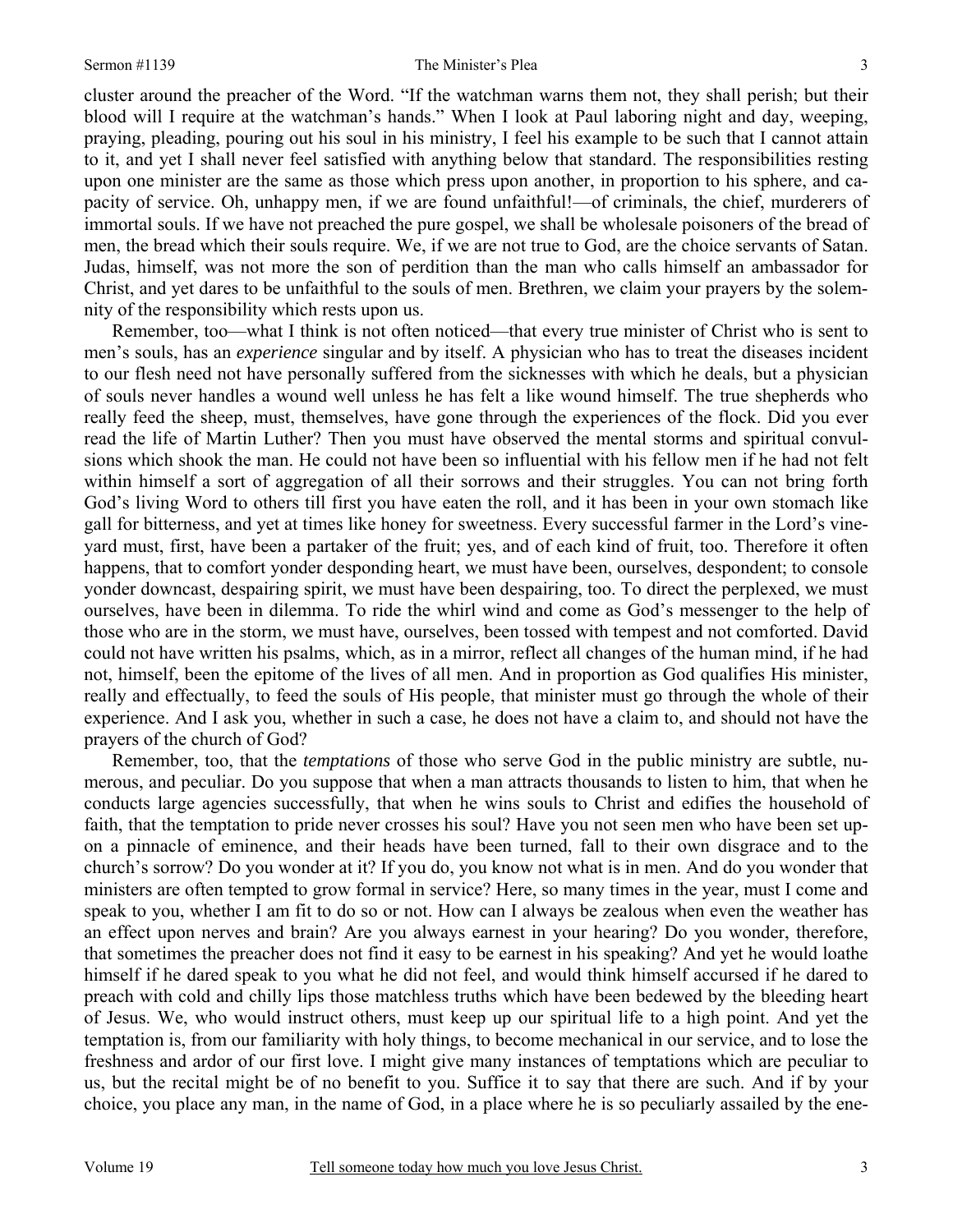cluster around the preacher of the Word. "If the watchman warns them not, they shall perish; but their blood will I require at the watchman's hands." When I look at Paul laboring night and day, weeping, praying, pleading, pouring out his soul in his ministry, I feel his example to be such that I cannot attain to it, and yet I shall never feel satisfied with anything below that standard. The responsibilities resting upon one minister are the same as those which press upon another, in proportion to his sphere, and capacity of service. Oh, unhappy men, if we are found unfaithful!—of criminals, the chief, murderers of immortal souls. If we have not preached the pure gospel, we shall be wholesale poisoners of the bread of men, the bread which their souls require. We, if we are not true to God, are the choice servants of Satan. Judas, himself, was not more the son of perdition than the man who calls himself an ambassador for Christ, and yet dares to be unfaithful to the souls of men. Brethren, we claim your prayers by the solemnity of the responsibility which rests upon us.

Remember, too—what I think is not often noticed—that every true minister of Christ who is sent to men's souls, has an *experience* singular and by itself. A physician who has to treat the diseases incident to our flesh need not have personally suffered from the sicknesses with which he deals, but a physician of souls never handles a wound well unless he has felt a like wound himself. The true shepherds who really feed the sheep, must, themselves, have gone through the experiences of the flock. Did you ever read the life of Martin Luther? Then you must have observed the mental storms and spiritual convulsions which shook the man. He could not have been so influential with his fellow men if he had not felt within himself a sort of aggregation of all their sorrows and their struggles. You can not bring forth God's living Word to others till first you have eaten the roll, and it has been in your own stomach like gall for bitterness, and yet at times like honey for sweetness. Every successful farmer in the Lord's vineyard must, first, have been a partaker of the fruit; yes, and of each kind of fruit, too. Therefore it often happens, that to comfort yonder desponding heart, we must have been, ourselves, despondent; to console yonder downcast, despairing spirit, we must have been despairing, too. To direct the perplexed, we must ourselves, have been in dilemma. To ride the whirl wind and come as God's messenger to the help of those who are in the storm, we must have, ourselves, been tossed with tempest and not comforted. David could not have written his psalms, which, as in a mirror, reflect all changes of the human mind, if he had not, himself, been the epitome of the lives of all men. And in proportion as God qualifies His minister, really and effectually, to feed the souls of His people, that minister must go through the whole of their experience. And I ask you, whether in such a case, he does not have a claim to, and should not have the prayers of the church of God?

Remember, too, that the *temptations* of those who serve God in the public ministry are subtle, numerous, and peculiar. Do you suppose that when a man attracts thousands to listen to him, that when he conducts large agencies successfully, that when he wins souls to Christ and edifies the household of faith, that the temptation to pride never crosses his soul? Have you not seen men who have been set upon a pinnacle of eminence, and their heads have been turned, fall to their own disgrace and to the church's sorrow? Do you wonder at it? If you do, you know not what is in men. And do you wonder that ministers are often tempted to grow formal in service? Here, so many times in the year, must I come and speak to you, whether I am fit to do so or not. How can I always be zealous when even the weather has an effect upon nerves and brain? Are you always earnest in your hearing? Do you wonder, therefore, that sometimes the preacher does not find it easy to be earnest in his speaking? And yet he would loathe himself if he dared speak to you what he did not feel, and would think himself accursed if he dared to preach with cold and chilly lips those matchless truths which have been bedewed by the bleeding heart of Jesus. We, who would instruct others, must keep up our spiritual life to a high point. And yet the temptation is, from our familiarity with holy things, to become mechanical in our service, and to lose the freshness and ardor of our first love. I might give many instances of temptations which are peculiar to us, but the recital might be of no benefit to you. Suffice it to say that there are such. And if by your choice, you place any man, in the name of God, in a place where he is so peculiarly assailed by the ene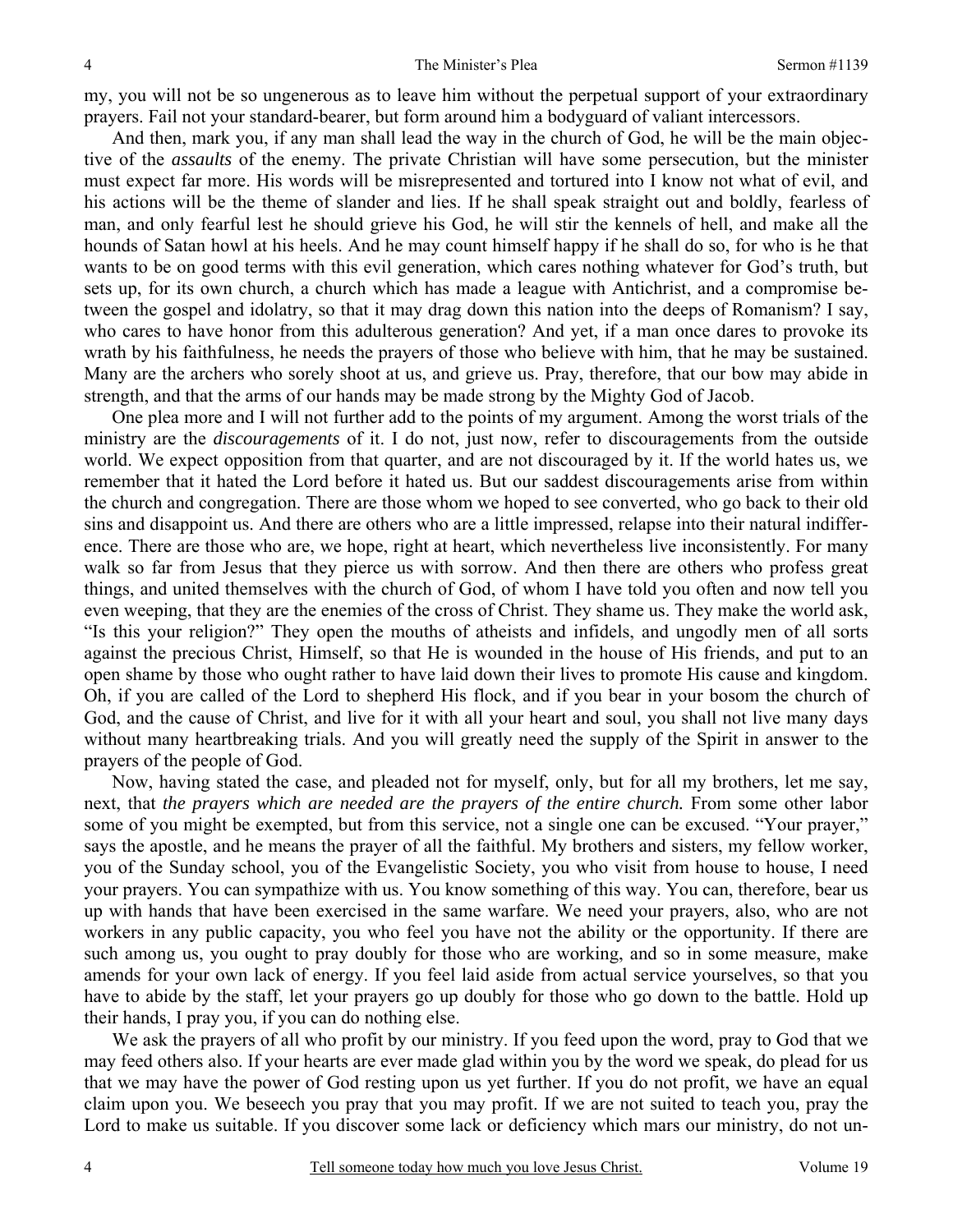my, you will not be so ungenerous as to leave him without the perpetual support of your extraordinary prayers. Fail not your standard-bearer, but form around him a bodyguard of valiant intercessors.

And then, mark you, if any man shall lead the way in the church of God, he will be the main objective of the *assaults* of the enemy. The private Christian will have some persecution, but the minister must expect far more. His words will be misrepresented and tortured into I know not what of evil, and his actions will be the theme of slander and lies. If he shall speak straight out and boldly, fearless of man, and only fearful lest he should grieve his God, he will stir the kennels of hell, and make all the hounds of Satan howl at his heels. And he may count himself happy if he shall do so, for who is he that wants to be on good terms with this evil generation, which cares nothing whatever for God's truth, but sets up, for its own church, a church which has made a league with Antichrist, and a compromise between the gospel and idolatry, so that it may drag down this nation into the deeps of Romanism? I say, who cares to have honor from this adulterous generation? And yet, if a man once dares to provoke its wrath by his faithfulness, he needs the prayers of those who believe with him, that he may be sustained. Many are the archers who sorely shoot at us, and grieve us. Pray, therefore, that our bow may abide in strength, and that the arms of our hands may be made strong by the Mighty God of Jacob.

One plea more and I will not further add to the points of my argument. Among the worst trials of the ministry are the *discouragements* of it. I do not, just now, refer to discouragements from the outside world. We expect opposition from that quarter, and are not discouraged by it. If the world hates us, we remember that it hated the Lord before it hated us. But our saddest discouragements arise from within the church and congregation. There are those whom we hoped to see converted, who go back to their old sins and disappoint us. And there are others who are a little impressed, relapse into their natural indifference. There are those who are, we hope, right at heart, which nevertheless live inconsistently. For many walk so far from Jesus that they pierce us with sorrow. And then there are others who profess great things, and united themselves with the church of God, of whom I have told you often and now tell you even weeping, that they are the enemies of the cross of Christ. They shame us. They make the world ask, "Is this your religion?" They open the mouths of atheists and infidels, and ungodly men of all sorts against the precious Christ, Himself, so that He is wounded in the house of His friends, and put to an open shame by those who ought rather to have laid down their lives to promote His cause and kingdom. Oh, if you are called of the Lord to shepherd His flock, and if you bear in your bosom the church of God, and the cause of Christ, and live for it with all your heart and soul, you shall not live many days without many heartbreaking trials. And you will greatly need the supply of the Spirit in answer to the prayers of the people of God.

Now, having stated the case, and pleaded not for myself, only, but for all my brothers, let me say, next, that *the prayers which are needed are the prayers of the entire church.* From some other labor some of you might be exempted, but from this service, not a single one can be excused. "Your prayer," says the apostle, and he means the prayer of all the faithful. My brothers and sisters, my fellow worker, you of the Sunday school, you of the Evangelistic Society, you who visit from house to house, I need your prayers. You can sympathize with us. You know something of this way. You can, therefore, bear us up with hands that have been exercised in the same warfare. We need your prayers, also, who are not workers in any public capacity, you who feel you have not the ability or the opportunity. If there are such among us, you ought to pray doubly for those who are working, and so in some measure, make amends for your own lack of energy. If you feel laid aside from actual service yourselves, so that you have to abide by the staff, let your prayers go up doubly for those who go down to the battle. Hold up their hands, I pray you, if you can do nothing else.

We ask the prayers of all who profit by our ministry. If you feed upon the word, pray to God that we may feed others also. If your hearts are ever made glad within you by the word we speak, do plead for us that we may have the power of God resting upon us yet further. If you do not profit, we have an equal claim upon you. We beseech you pray that you may profit. If we are not suited to teach you, pray the Lord to make us suitable. If you discover some lack or deficiency which mars our ministry, do not un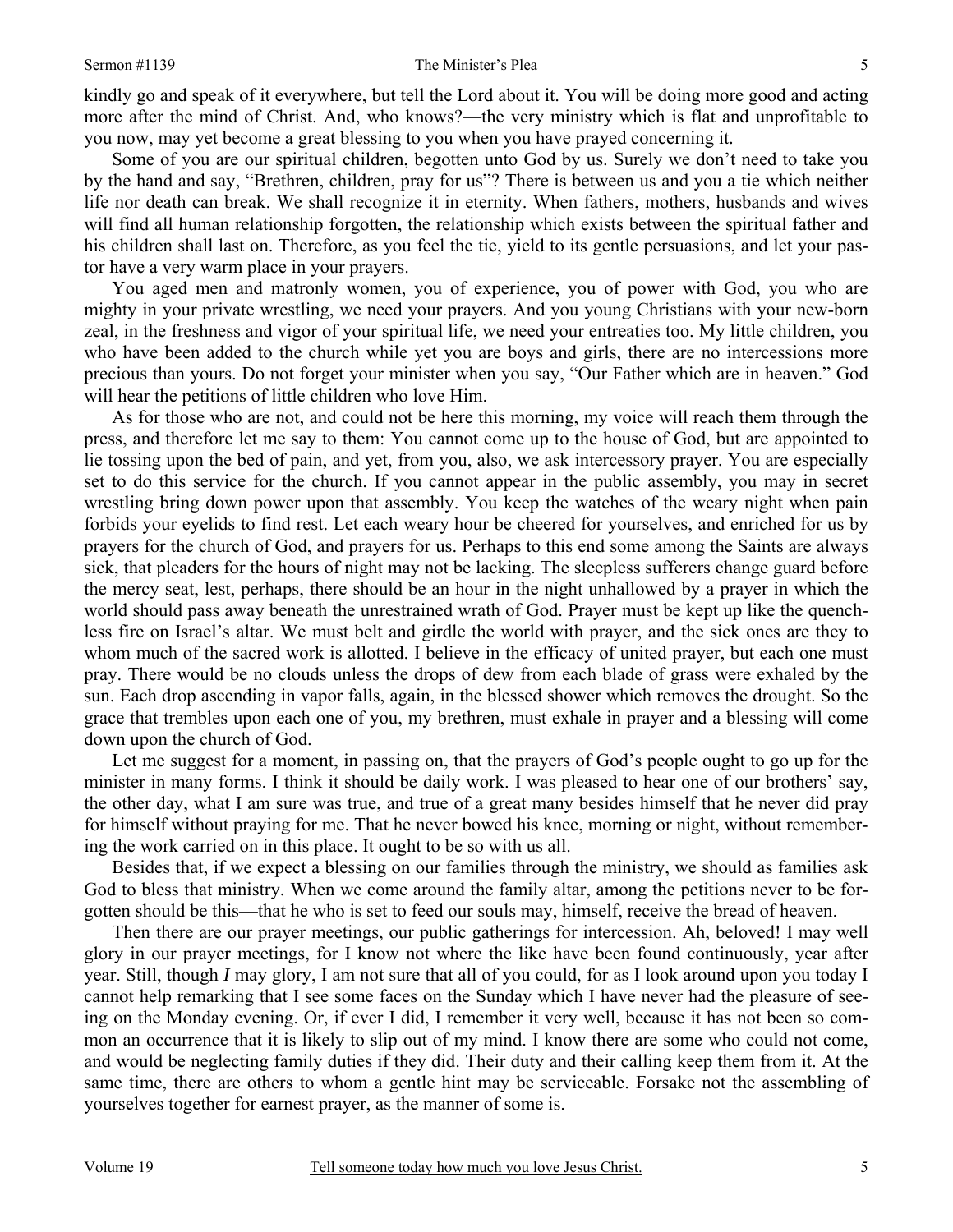kindly go and speak of it everywhere, but tell the Lord about it. You will be doing more good and acting more after the mind of Christ. And, who knows?—the very ministry which is flat and unprofitable to you now, may yet become a great blessing to you when you have prayed concerning it*.*

Some of you are our spiritual children, begotten unto God by us. Surely we don't need to take you by the hand and say, "Brethren, children, pray for us"? There is between us and you a tie which neither life nor death can break. We shall recognize it in eternity. When fathers, mothers, husbands and wives will find all human relationship forgotten, the relationship which exists between the spiritual father and his children shall last on. Therefore, as you feel the tie, yield to its gentle persuasions, and let your pastor have a very warm place in your prayers.

You aged men and matronly women, you of experience, you of power with God, you who are mighty in your private wrestling, we need your prayers. And you young Christians with your new-born zeal, in the freshness and vigor of your spiritual life, we need your entreaties too. My little children, you who have been added to the church while yet you are boys and girls, there are no intercessions more precious than yours. Do not forget your minister when you say, "Our Father which are in heaven." God will hear the petitions of little children who love Him.

As for those who are not, and could not be here this morning, my voice will reach them through the press, and therefore let me say to them: You cannot come up to the house of God, but are appointed to lie tossing upon the bed of pain, and yet, from you, also, we ask intercessory prayer. You are especially set to do this service for the church. If you cannot appear in the public assembly, you may in secret wrestling bring down power upon that assembly. You keep the watches of the weary night when pain forbids your eyelids to find rest. Let each weary hour be cheered for yourselves, and enriched for us by prayers for the church of God, and prayers for us. Perhaps to this end some among the Saints are always sick, that pleaders for the hours of night may not be lacking. The sleepless sufferers change guard before the mercy seat, lest, perhaps, there should be an hour in the night unhallowed by a prayer in which the world should pass away beneath the unrestrained wrath of God. Prayer must be kept up like the quenchless fire on Israel's altar. We must belt and girdle the world with prayer, and the sick ones are they to whom much of the sacred work is allotted. I believe in the efficacy of united prayer, but each one must pray. There would be no clouds unless the drops of dew from each blade of grass were exhaled by the sun. Each drop ascending in vapor falls, again, in the blessed shower which removes the drought. So the grace that trembles upon each one of you, my brethren, must exhale in prayer and a blessing will come down upon the church of God.

Let me suggest for a moment, in passing on, that the prayers of God's people ought to go up for the minister in many forms. I think it should be daily work. I was pleased to hear one of our brothers' say, the other day, what I am sure was true, and true of a great many besides himself that he never did pray for himself without praying for me. That he never bowed his knee, morning or night, without remembering the work carried on in this place. It ought to be so with us all.

Besides that, if we expect a blessing on our families through the ministry, we should as families ask God to bless that ministry. When we come around the family altar, among the petitions never to be forgotten should be this—that he who is set to feed our souls may, himself, receive the bread of heaven.

Then there are our prayer meetings, our public gatherings for intercession. Ah, beloved! I may well glory in our prayer meetings, for I know not where the like have been found continuously, year after year. Still, though *I* may glory, I am not sure that all of you could, for as I look around upon you today I cannot help remarking that I see some faces on the Sunday which I have never had the pleasure of seeing on the Monday evening. Or, if ever I did, I remember it very well, because it has not been so common an occurrence that it is likely to slip out of my mind. I know there are some who could not come, and would be neglecting family duties if they did. Their duty and their calling keep them from it. At the same time, there are others to whom a gentle hint may be serviceable. Forsake not the assembling of yourselves together for earnest prayer, as the manner of some is.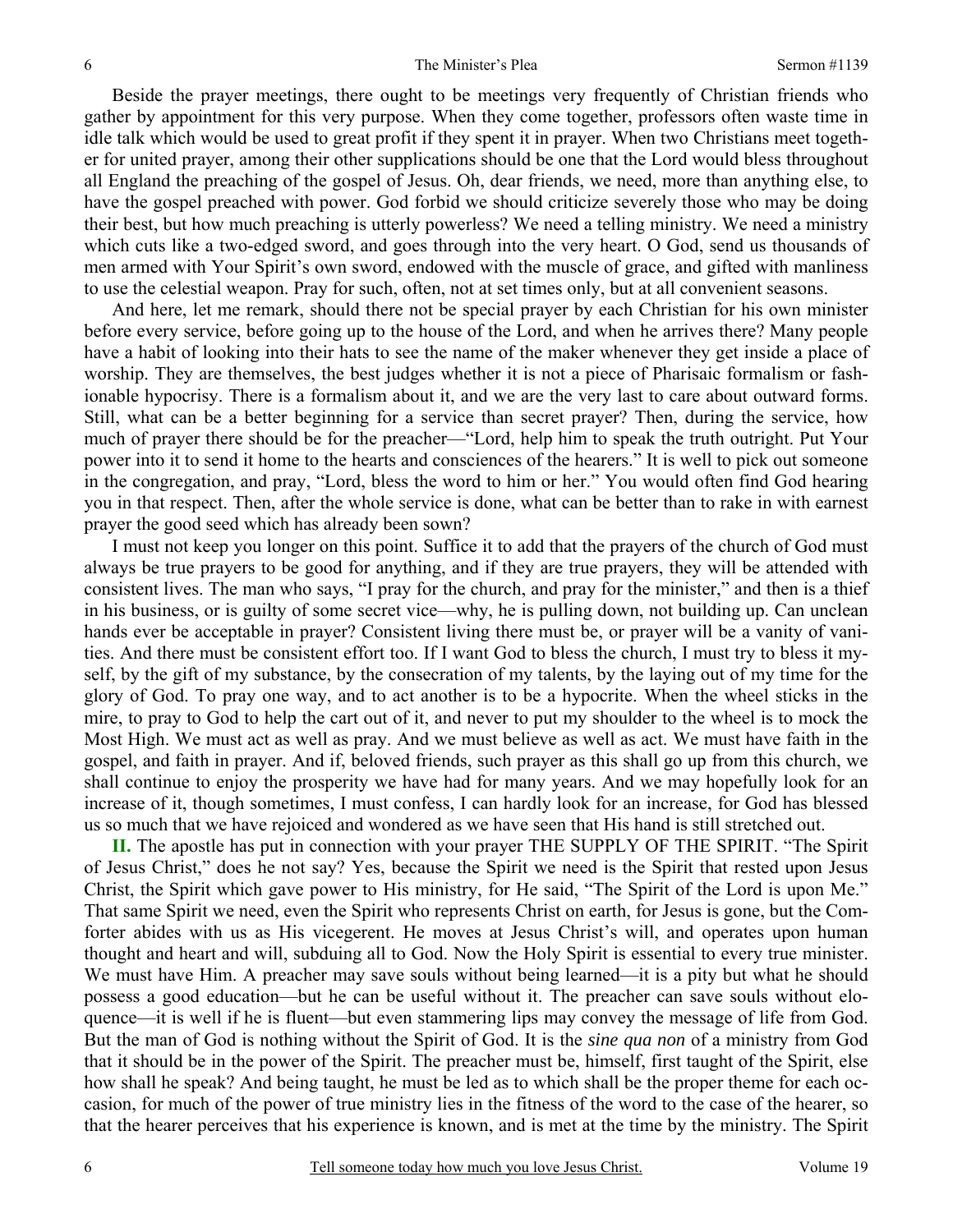Beside the prayer meetings, there ought to be meetings very frequently of Christian friends who gather by appointment for this very purpose. When they come together, professors often waste time in idle talk which would be used to great profit if they spent it in prayer. When two Christians meet together for united prayer, among their other supplications should be one that the Lord would bless throughout all England the preaching of the gospel of Jesus. Oh, dear friends, we need, more than anything else, to have the gospel preached with power. God forbid we should criticize severely those who may be doing their best, but how much preaching is utterly powerless? We need a telling ministry. We need a ministry which cuts like a two-edged sword, and goes through into the very heart. O God, send us thousands of men armed with Your Spirit's own sword, endowed with the muscle of grace, and gifted with manliness to use the celestial weapon. Pray for such, often, not at set times only, but at all convenient seasons.

And here, let me remark, should there not be special prayer by each Christian for his own minister before every service, before going up to the house of the Lord, and when he arrives there? Many people have a habit of looking into their hats to see the name of the maker whenever they get inside a place of worship. They are themselves, the best judges whether it is not a piece of Pharisaic formalism or fashionable hypocrisy. There is a formalism about it, and we are the very last to care about outward forms. Still, what can be a better beginning for a service than secret prayer? Then, during the service, how much of prayer there should be for the preacher—"Lord, help him to speak the truth outright. Put Your power into it to send it home to the hearts and consciences of the hearers." It is well to pick out someone in the congregation, and pray, "Lord, bless the word to him or her." You would often find God hearing you in that respect. Then, after the whole service is done, what can be better than to rake in with earnest prayer the good seed which has already been sown?

I must not keep you longer on this point. Suffice it to add that the prayers of the church of God must always be true prayers to be good for anything, and if they are true prayers, they will be attended with consistent lives. The man who says, "I pray for the church, and pray for the minister," and then is a thief in his business, or is guilty of some secret vice—why, he is pulling down, not building up. Can unclean hands ever be acceptable in prayer? Consistent living there must be, or prayer will be a vanity of vanities. And there must be consistent effort too. If I want God to bless the church, I must try to bless it myself, by the gift of my substance, by the consecration of my talents, by the laying out of my time for the glory of God. To pray one way, and to act another is to be a hypocrite. When the wheel sticks in the mire, to pray to God to help the cart out of it, and never to put my shoulder to the wheel is to mock the Most High. We must act as well as pray. And we must believe as well as act. We must have faith in the gospel, and faith in prayer. And if, beloved friends, such prayer as this shall go up from this church, we shall continue to enjoy the prosperity we have had for many years. And we may hopefully look for an increase of it, though sometimes, I must confess, I can hardly look for an increase, for God has blessed us so much that we have rejoiced and wondered as we have seen that His hand is still stretched out.

**II.** The apostle has put in connection with your prayer THE SUPPLY OF THE SPIRIT. "The Spirit of Jesus Christ," does he not say? Yes, because the Spirit we need is the Spirit that rested upon Jesus Christ, the Spirit which gave power to His ministry, for He said, "The Spirit of the Lord is upon Me." That same Spirit we need, even the Spirit who represents Christ on earth, for Jesus is gone, but the Comforter abides with us as His vicegerent. He moves at Jesus Christ's will, and operates upon human thought and heart and will, subduing all to God. Now the Holy Spirit is essential to every true minister. We must have Him. A preacher may save souls without being learned—it is a pity but what he should possess a good education—but he can be useful without it. The preacher can save souls without eloquence—it is well if he is fluent—but even stammering lips may convey the message of life from God. But the man of God is nothing without the Spirit of God. It is the *sine qua non* of a ministry from God that it should be in the power of the Spirit. The preacher must be, himself, first taught of the Spirit, else how shall he speak? And being taught, he must be led as to which shall be the proper theme for each occasion, for much of the power of true ministry lies in the fitness of the word to the case of the hearer, so that the hearer perceives that his experience is known, and is met at the time by the ministry. The Spirit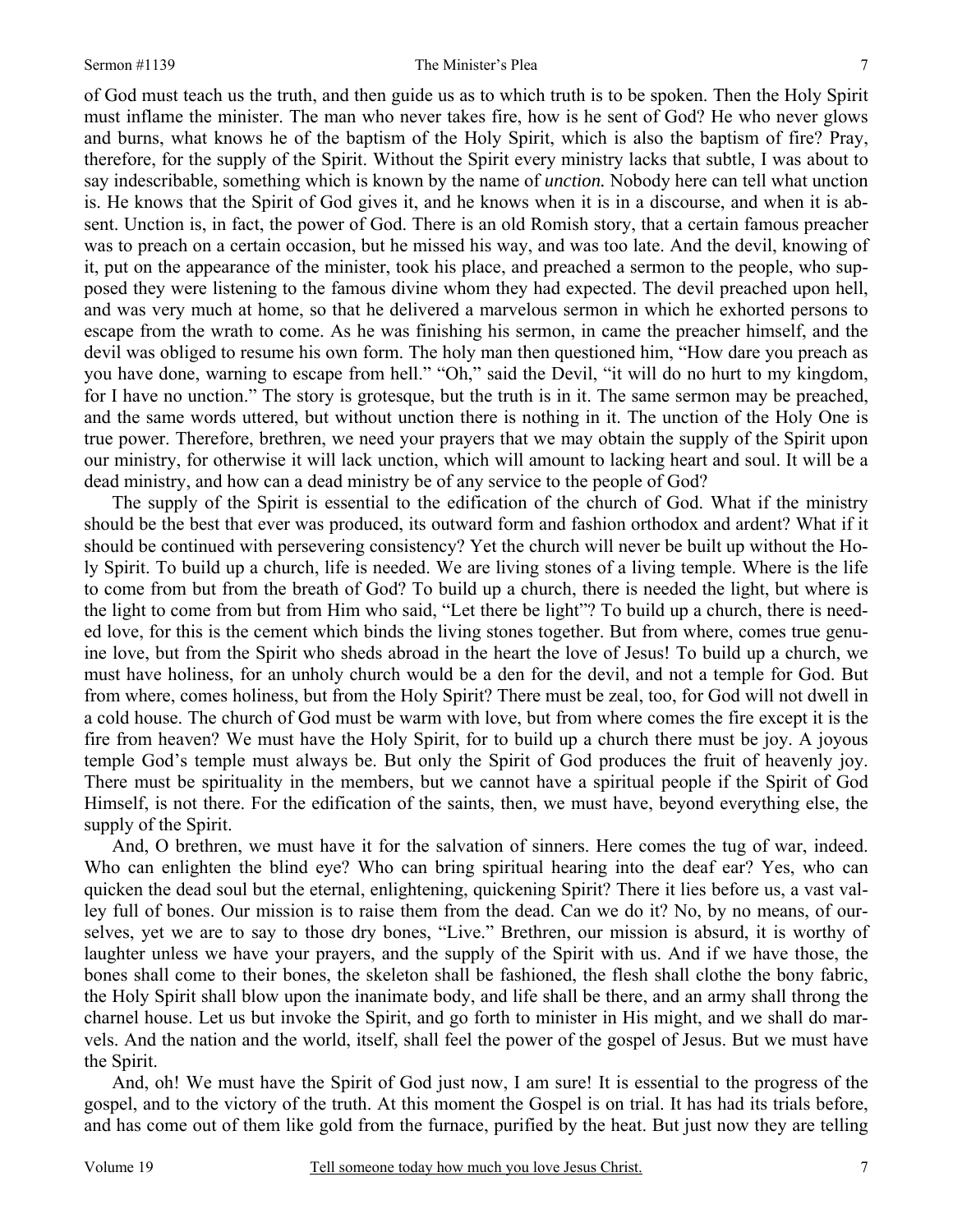of God must teach us the truth, and then guide us as to which truth is to be spoken. Then the Holy Spirit must inflame the minister. The man who never takes fire, how is he sent of God? He who never glows and burns, what knows he of the baptism of the Holy Spirit, which is also the baptism of fire? Pray, therefore, for the supply of the Spirit. Without the Spirit every ministry lacks that subtle, I was about to say indescribable, something which is known by the name of *unction.* Nobody here can tell what unction is. He knows that the Spirit of God gives it, and he knows when it is in a discourse, and when it is absent. Unction is, in fact, the power of God. There is an old Romish story, that a certain famous preacher was to preach on a certain occasion, but he missed his way, and was too late. And the devil, knowing of it, put on the appearance of the minister, took his place, and preached a sermon to the people, who supposed they were listening to the famous divine whom they had expected. The devil preached upon hell, and was very much at home, so that he delivered a marvelous sermon in which he exhorted persons to escape from the wrath to come. As he was finishing his sermon, in came the preacher himself, and the devil was obliged to resume his own form. The holy man then questioned him, "How dare you preach as you have done, warning to escape from hell." "Oh," said the Devil, "it will do no hurt to my kingdom, for I have no unction." The story is grotesque, but the truth is in it. The same sermon may be preached, and the same words uttered, but without unction there is nothing in it. The unction of the Holy One is true power. Therefore, brethren, we need your prayers that we may obtain the supply of the Spirit upon our ministry, for otherwise it will lack unction, which will amount to lacking heart and soul. It will be a dead ministry, and how can a dead ministry be of any service to the people of God?

The supply of the Spirit is essential to the edification of the church of God. What if the ministry should be the best that ever was produced, its outward form and fashion orthodox and ardent? What if it should be continued with persevering consistency? Yet the church will never be built up without the Holy Spirit. To build up a church, life is needed. We are living stones of a living temple. Where is the life to come from but from the breath of God? To build up a church, there is needed the light, but where is the light to come from but from Him who said, "Let there be light"? To build up a church, there is needed love, for this is the cement which binds the living stones together. But from where, comes true genuine love, but from the Spirit who sheds abroad in the heart the love of Jesus! To build up a church, we must have holiness, for an unholy church would be a den for the devil, and not a temple for God. But from where, comes holiness, but from the Holy Spirit? There must be zeal, too, for God will not dwell in a cold house. The church of God must be warm with love, but from where comes the fire except it is the fire from heaven? We must have the Holy Spirit, for to build up a church there must be joy. A joyous temple God's temple must always be. But only the Spirit of God produces the fruit of heavenly joy. There must be spirituality in the members, but we cannot have a spiritual people if the Spirit of God Himself, is not there. For the edification of the saints, then, we must have, beyond everything else, the supply of the Spirit.

And, O brethren, we must have it for the salvation of sinners. Here comes the tug of war, indeed. Who can enlighten the blind eye? Who can bring spiritual hearing into the deaf ear? Yes, who can quicken the dead soul but the eternal, enlightening, quickening Spirit? There it lies before us, a vast valley full of bones. Our mission is to raise them from the dead. Can we do it? No, by no means, of ourselves, yet we are to say to those dry bones, "Live." Brethren, our mission is absurd, it is worthy of laughter unless we have your prayers, and the supply of the Spirit with us. And if we have those, the bones shall come to their bones, the skeleton shall be fashioned, the flesh shall clothe the bony fabric, the Holy Spirit shall blow upon the inanimate body, and life shall be there, and an army shall throng the charnel house. Let us but invoke the Spirit, and go forth to minister in His might, and we shall do marvels. And the nation and the world, itself, shall feel the power of the gospel of Jesus. But we must have the Spirit.

And, oh! We must have the Spirit of God just now, I am sure! It is essential to the progress of the gospel, and to the victory of the truth. At this moment the Gospel is on trial. It has had its trials before, and has come out of them like gold from the furnace, purified by the heat. But just now they are telling